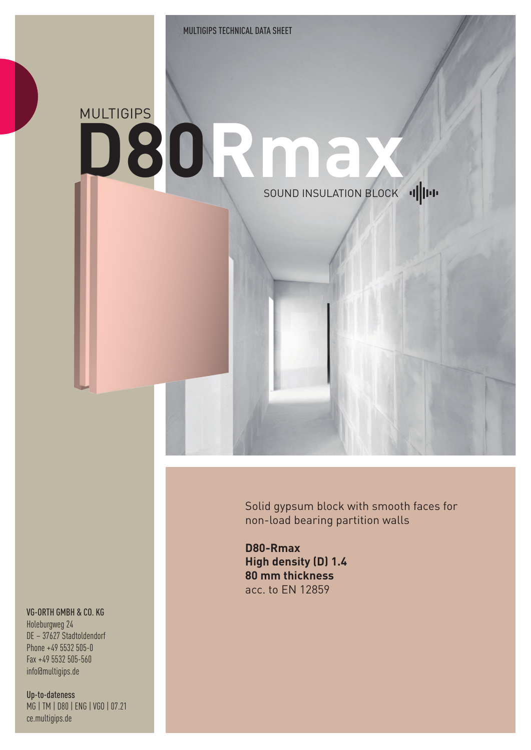## **MULTIGIPS D80Rmax**  SOUND INSULATION BLOCK 1

Solid gypsum block with smooth faces for non-load bearing partition walls

**D80-Rmax High density (D) 1.4 80 mm thickness** acc. to EN 12859

## VG-ORTH GMBH & CO. KG

Holeburgweg 24 DE – 37627 Stadtoldendorf Phone +49 5532 505-0 Fax +49 5532 505-560 info@multigips.de

Up-to-dateness MG | TM | D80 | ENG | VGO | 07.21 ce.multigips.de